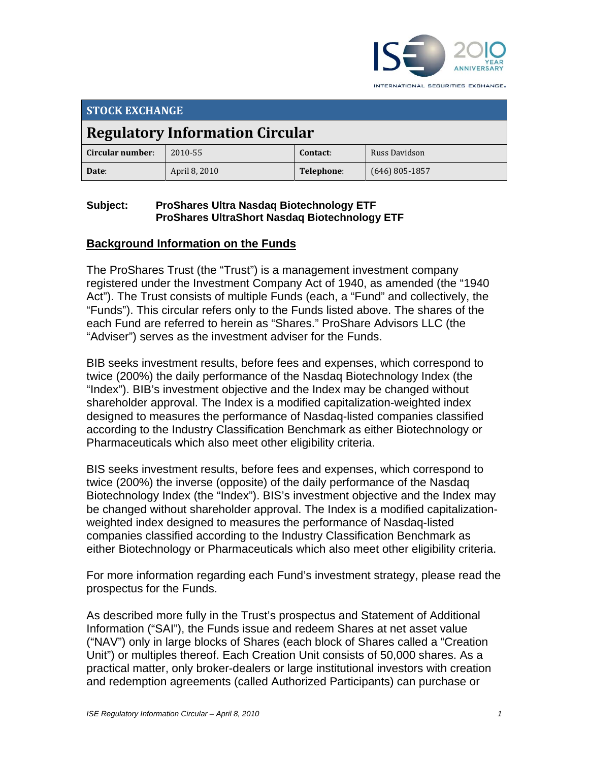

INTERNATIONAL SECURITIES EXCHANGE.

| <b>STOCK EXCHANGE</b>                  |               |            |                  |  |
|----------------------------------------|---------------|------------|------------------|--|
| <b>Regulatory Information Circular</b> |               |            |                  |  |
| Circular number:                       | 2010-55       | Contact:   | Russ Davidson    |  |
| Date:                                  | April 8, 2010 | Telephone: | $(646)$ 805-1857 |  |

## **Subject: ProShares Ultra Nasdaq Biotechnology ETF ProShares UltraShort Nasdaq Biotechnology ETF**

# **Background Information on the Funds**

The ProShares Trust (the "Trust") is a management investment company registered under the Investment Company Act of 1940, as amended (the "1940 Act"). The Trust consists of multiple Funds (each, a "Fund" and collectively, the "Funds"). This circular refers only to the Funds listed above. The shares of the each Fund are referred to herein as "Shares." ProShare Advisors LLC (the "Adviser") serves as the investment adviser for the Funds.

BIB seeks investment results, before fees and expenses, which correspond to twice (200%) the daily performance of the Nasdaq Biotechnology Index (the "Index"). BIB's investment objective and the Index may be changed without shareholder approval. The Index is a modified capitalization-weighted index designed to measures the performance of Nasdaq-listed companies classified according to the Industry Classification Benchmark as either Biotechnology or Pharmaceuticals which also meet other eligibility criteria.

BIS seeks investment results, before fees and expenses, which correspond to twice (200%) the inverse (opposite) of the daily performance of the Nasdaq Biotechnology Index (the "Index"). BIS's investment objective and the Index may be changed without shareholder approval. The Index is a modified capitalizationweighted index designed to measures the performance of Nasdaq-listed companies classified according to the Industry Classification Benchmark as either Biotechnology or Pharmaceuticals which also meet other eligibility criteria.

For more information regarding each Fund's investment strategy, please read the prospectus for the Funds.

As described more fully in the Trust's prospectus and Statement of Additional Information ("SAI"), the Funds issue and redeem Shares at net asset value ("NAV") only in large blocks of Shares (each block of Shares called a "Creation Unit") or multiples thereof. Each Creation Unit consists of 50,000 shares. As a practical matter, only broker-dealers or large institutional investors with creation and redemption agreements (called Authorized Participants) can purchase or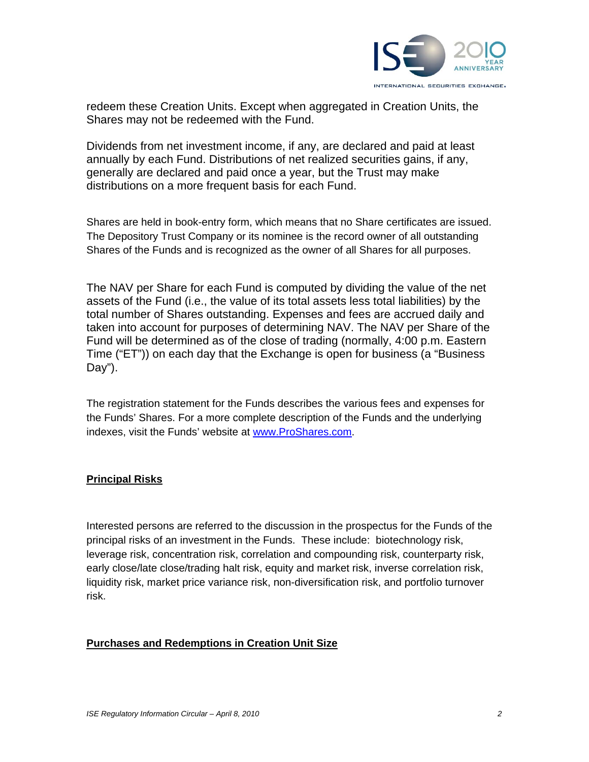

redeem these Creation Units. Except when aggregated in Creation Units, the Shares may not be redeemed with the Fund.

Dividends from net investment income, if any, are declared and paid at least annually by each Fund. Distributions of net realized securities gains, if any, generally are declared and paid once a year, but the Trust may make distributions on a more frequent basis for each Fund.

Shares are held in book-entry form, which means that no Share certificates are issued. The Depository Trust Company or its nominee is the record owner of all outstanding Shares of the Funds and is recognized as the owner of all Shares for all purposes.

The NAV per Share for each Fund is computed by dividing the value of the net assets of the Fund (i.e., the value of its total assets less total liabilities) by the total number of Shares outstanding. Expenses and fees are accrued daily and taken into account for purposes of determining NAV. The NAV per Share of the Fund will be determined as of the close of trading (normally, 4:00 p.m. Eastern Time ("ET")) on each day that the Exchange is open for business (a "Business Day").

The registration statement for the Funds describes the various fees and expenses for the Funds' Shares. For a more complete description of the Funds and the underlying indexes, visit the Funds' website at www.ProShares.com.

### **Principal Risks**

Interested persons are referred to the discussion in the prospectus for the Funds of the principal risks of an investment in the Funds. These include: biotechnology risk, leverage risk, concentration risk, correlation and compounding risk, counterparty risk, early close/late close/trading halt risk, equity and market risk, inverse correlation risk, liquidity risk, market price variance risk, non-diversification risk, and portfolio turnover risk.

### **Purchases and Redemptions in Creation Unit Size**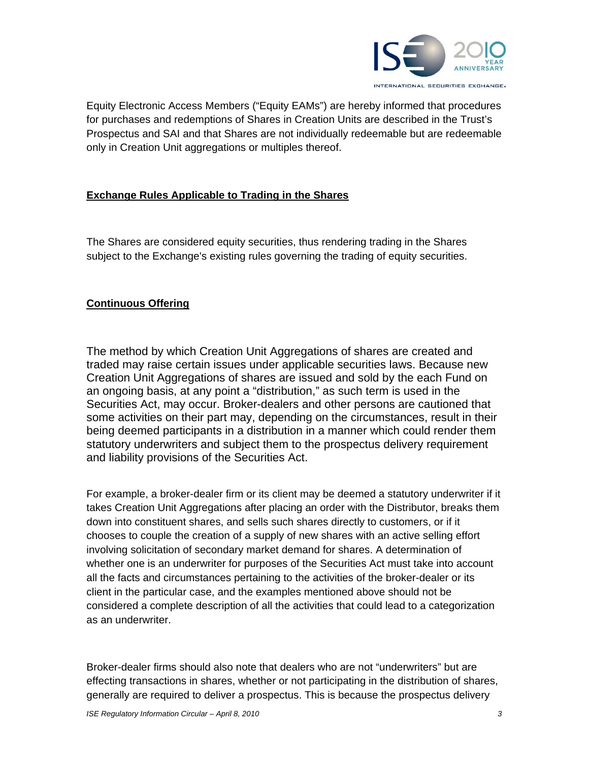

Equity Electronic Access Members ("Equity EAMs") are hereby informed that procedures for purchases and redemptions of Shares in Creation Units are described in the Trust's Prospectus and SAI and that Shares are not individually redeemable but are redeemable only in Creation Unit aggregations or multiples thereof.

## **Exchange Rules Applicable to Trading in the Shares**

The Shares are considered equity securities, thus rendering trading in the Shares subject to the Exchange's existing rules governing the trading of equity securities.

### **Continuous Offering**

The method by which Creation Unit Aggregations of shares are created and traded may raise certain issues under applicable securities laws. Because new Creation Unit Aggregations of shares are issued and sold by the each Fund on an ongoing basis, at any point a "distribution," as such term is used in the Securities Act, may occur. Broker-dealers and other persons are cautioned that some activities on their part may, depending on the circumstances, result in their being deemed participants in a distribution in a manner which could render them statutory underwriters and subject them to the prospectus delivery requirement and liability provisions of the Securities Act.

For example, a broker-dealer firm or its client may be deemed a statutory underwriter if it takes Creation Unit Aggregations after placing an order with the Distributor, breaks them down into constituent shares, and sells such shares directly to customers, or if it chooses to couple the creation of a supply of new shares with an active selling effort involving solicitation of secondary market demand for shares. A determination of whether one is an underwriter for purposes of the Securities Act must take into account all the facts and circumstances pertaining to the activities of the broker-dealer or its client in the particular case, and the examples mentioned above should not be considered a complete description of all the activities that could lead to a categorization as an underwriter.

Broker-dealer firms should also note that dealers who are not "underwriters" but are effecting transactions in shares, whether or not participating in the distribution of shares, generally are required to deliver a prospectus. This is because the prospectus delivery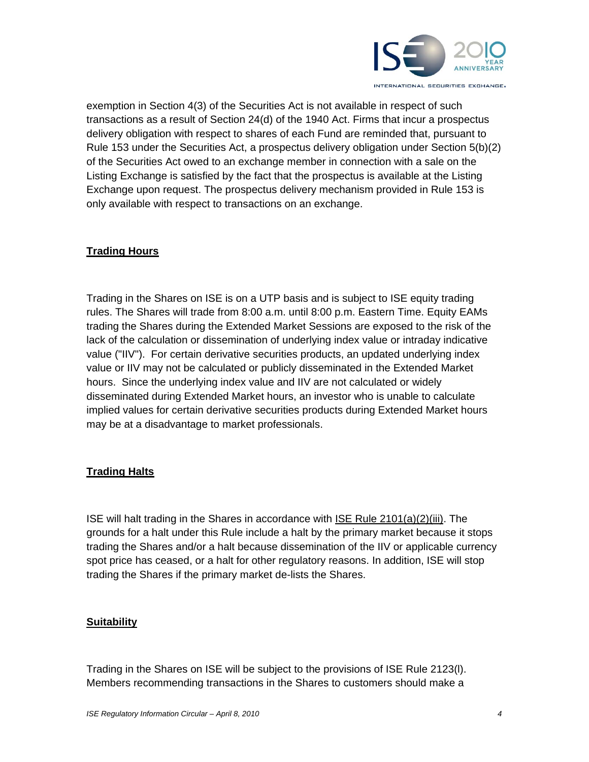

exemption in Section 4(3) of the Securities Act is not available in respect of such transactions as a result of Section 24(d) of the 1940 Act. Firms that incur a prospectus delivery obligation with respect to shares of each Fund are reminded that, pursuant to Rule 153 under the Securities Act, a prospectus delivery obligation under Section 5(b)(2) of the Securities Act owed to an exchange member in connection with a sale on the Listing Exchange is satisfied by the fact that the prospectus is available at the Listing Exchange upon request. The prospectus delivery mechanism provided in Rule 153 is only available with respect to transactions on an exchange.

## **Trading Hours**

Trading in the Shares on ISE is on a UTP basis and is subject to ISE equity trading rules. The Shares will trade from 8:00 a.m. until 8:00 p.m. Eastern Time. Equity EAMs trading the Shares during the Extended Market Sessions are exposed to the risk of the lack of the calculation or dissemination of underlying index value or intraday indicative value ("IIV"). For certain derivative securities products, an updated underlying index value or IIV may not be calculated or publicly disseminated in the Extended Market hours. Since the underlying index value and IIV are not calculated or widely disseminated during Extended Market hours, an investor who is unable to calculate implied values for certain derivative securities products during Extended Market hours may be at a disadvantage to market professionals.

## **Trading Halts**

ISE will halt trading in the Shares in accordance with ISE Rule 2101(a)(2)(iii). The grounds for a halt under this Rule include a halt by the primary market because it stops trading the Shares and/or a halt because dissemination of the IIV or applicable currency spot price has ceased, or a halt for other regulatory reasons. In addition, ISE will stop trading the Shares if the primary market de-lists the Shares.

### **Suitability**

Trading in the Shares on ISE will be subject to the provisions of ISE Rule 2123(l). Members recommending transactions in the Shares to customers should make a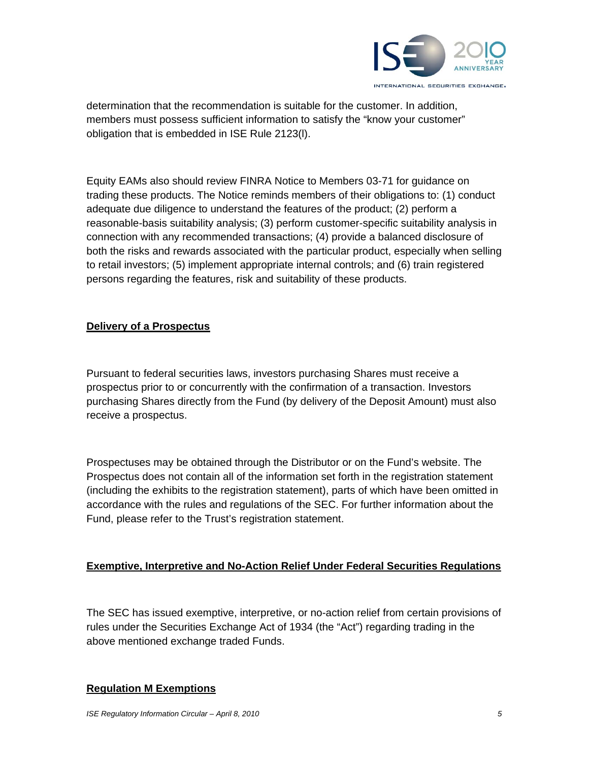

determination that the recommendation is suitable for the customer. In addition, members must possess sufficient information to satisfy the "know your customer" obligation that is embedded in ISE Rule 2123(l).

Equity EAMs also should review FINRA Notice to Members 03-71 for guidance on trading these products. The Notice reminds members of their obligations to: (1) conduct adequate due diligence to understand the features of the product; (2) perform a reasonable-basis suitability analysis; (3) perform customer-specific suitability analysis in connection with any recommended transactions; (4) provide a balanced disclosure of both the risks and rewards associated with the particular product, especially when selling to retail investors; (5) implement appropriate internal controls; and (6) train registered persons regarding the features, risk and suitability of these products.

## **Delivery of a Prospectus**

Pursuant to federal securities laws, investors purchasing Shares must receive a prospectus prior to or concurrently with the confirmation of a transaction. Investors purchasing Shares directly from the Fund (by delivery of the Deposit Amount) must also receive a prospectus.

Prospectuses may be obtained through the Distributor or on the Fund's website. The Prospectus does not contain all of the information set forth in the registration statement (including the exhibits to the registration statement), parts of which have been omitted in accordance with the rules and regulations of the SEC. For further information about the Fund, please refer to the Trust's registration statement.

## **Exemptive, Interpretive and No-Action Relief Under Federal Securities Regulations**

The SEC has issued exemptive, interpretive, or no-action relief from certain provisions of rules under the Securities Exchange Act of 1934 (the "Act") regarding trading in the above mentioned exchange traded Funds.

### **Regulation M Exemptions**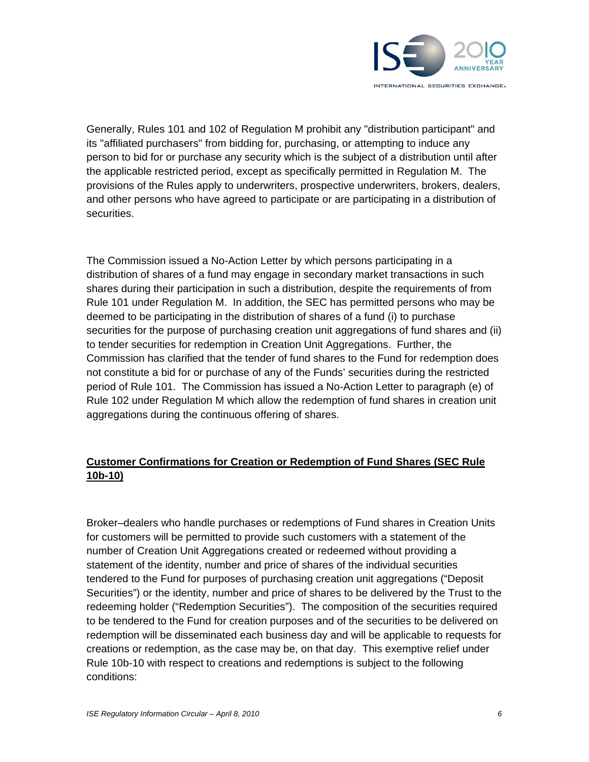

Generally, Rules 101 and 102 of Regulation M prohibit any "distribution participant" and its "affiliated purchasers" from bidding for, purchasing, or attempting to induce any person to bid for or purchase any security which is the subject of a distribution until after the applicable restricted period, except as specifically permitted in Regulation M. The provisions of the Rules apply to underwriters, prospective underwriters, brokers, dealers, and other persons who have agreed to participate or are participating in a distribution of securities.

The Commission issued a No-Action Letter by which persons participating in a distribution of shares of a fund may engage in secondary market transactions in such shares during their participation in such a distribution, despite the requirements of from Rule 101 under Regulation M. In addition, the SEC has permitted persons who may be deemed to be participating in the distribution of shares of a fund (i) to purchase securities for the purpose of purchasing creation unit aggregations of fund shares and (ii) to tender securities for redemption in Creation Unit Aggregations. Further, the Commission has clarified that the tender of fund shares to the Fund for redemption does not constitute a bid for or purchase of any of the Funds' securities during the restricted period of Rule 101. The Commission has issued a No-Action Letter to paragraph (e) of Rule 102 under Regulation M which allow the redemption of fund shares in creation unit aggregations during the continuous offering of shares.

## **Customer Confirmations for Creation or Redemption of Fund Shares (SEC Rule 10b-10)**

Broker–dealers who handle purchases or redemptions of Fund shares in Creation Units for customers will be permitted to provide such customers with a statement of the number of Creation Unit Aggregations created or redeemed without providing a statement of the identity, number and price of shares of the individual securities tendered to the Fund for purposes of purchasing creation unit aggregations ("Deposit Securities") or the identity, number and price of shares to be delivered by the Trust to the redeeming holder ("Redemption Securities"). The composition of the securities required to be tendered to the Fund for creation purposes and of the securities to be delivered on redemption will be disseminated each business day and will be applicable to requests for creations or redemption, as the case may be, on that day. This exemptive relief under Rule 10b-10 with respect to creations and redemptions is subject to the following conditions: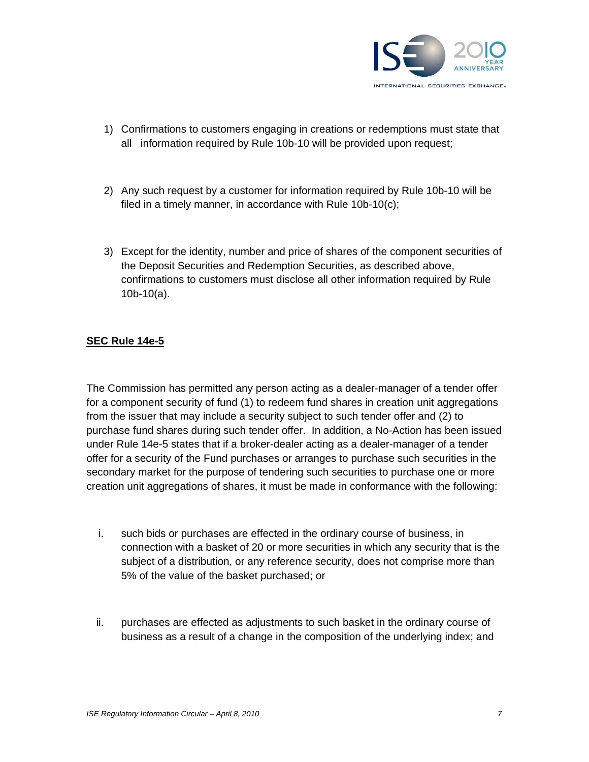

- 1) Confirmations to customers engaging in creations or redemptions must state that all information required by Rule 10b-10 will be provided upon request;
- 2) Any such request by a customer for information required by Rule 10b-10 will be filed in a timely manner, in accordance with Rule 10b-10(c);
- 3) Except for the identity, number and price of shares of the component securities of the Deposit Securities and Redemption Securities, as described above, confirmations to customers must disclose all other information required by Rule 10b-10(a).

## **SEC Rule 14e-5**

The Commission has permitted any person acting as a dealer-manager of a tender offer for a component security of fund (1) to redeem fund shares in creation unit aggregations from the issuer that may include a security subject to such tender offer and (2) to purchase fund shares during such tender offer. In addition, a No-Action has been issued under Rule 14e-5 states that if a broker-dealer acting as a dealer-manager of a tender offer for a security of the Fund purchases or arranges to purchase such securities in the secondary market for the purpose of tendering such securities to purchase one or more creation unit aggregations of shares, it must be made in conformance with the following:

- i. such bids or purchases are effected in the ordinary course of business, in connection with a basket of 20 or more securities in which any security that is the subject of a distribution, or any reference security, does not comprise more than 5% of the value of the basket purchased; or
- ii. purchases are effected as adjustments to such basket in the ordinary course of business as a result of a change in the composition of the underlying index; and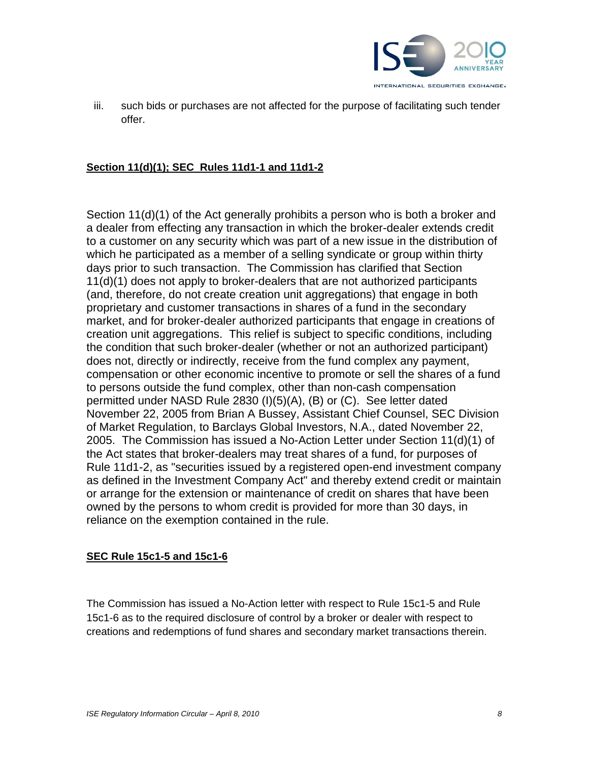

iii. such bids or purchases are not affected for the purpose of facilitating such tender offer.

#### **Section 11(d)(1); SEC Rules 11d1-1 and 11d1-2**

Section 11(d)(1) of the Act generally prohibits a person who is both a broker and a dealer from effecting any transaction in which the broker-dealer extends credit to a customer on any security which was part of a new issue in the distribution of which he participated as a member of a selling syndicate or group within thirty days prior to such transaction. The Commission has clarified that Section 11(d)(1) does not apply to broker-dealers that are not authorized participants (and, therefore, do not create creation unit aggregations) that engage in both proprietary and customer transactions in shares of a fund in the secondary market, and for broker-dealer authorized participants that engage in creations of creation unit aggregations. This relief is subject to specific conditions, including the condition that such broker-dealer (whether or not an authorized participant) does not, directly or indirectly, receive from the fund complex any payment, compensation or other economic incentive to promote or sell the shares of a fund to persons outside the fund complex, other than non-cash compensation permitted under NASD Rule 2830 (I)(5)(A), (B) or (C). See letter dated November 22, 2005 from Brian A Bussey, Assistant Chief Counsel, SEC Division of Market Regulation, to Barclays Global Investors, N.A., dated November 22, 2005. The Commission has issued a No-Action Letter under Section 11(d)(1) of the Act states that broker-dealers may treat shares of a fund, for purposes of Rule 11d1-2, as "securities issued by a registered open-end investment company as defined in the Investment Company Act" and thereby extend credit or maintain or arrange for the extension or maintenance of credit on shares that have been owned by the persons to whom credit is provided for more than 30 days, in reliance on the exemption contained in the rule.

### **SEC Rule 15c1-5 and 15c1-6**

The Commission has issued a No-Action letter with respect to Rule 15c1-5 and Rule 15c1-6 as to the required disclosure of control by a broker or dealer with respect to creations and redemptions of fund shares and secondary market transactions therein.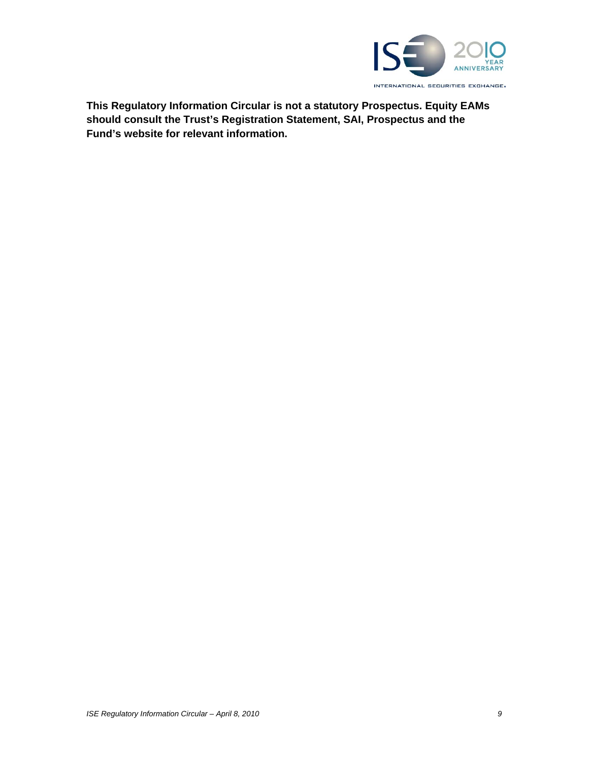

**This Regulatory Information Circular is not a statutory Prospectus. Equity EAMs should consult the Trust's Registration Statement, SAI, Prospectus and the Fund's website for relevant information.**